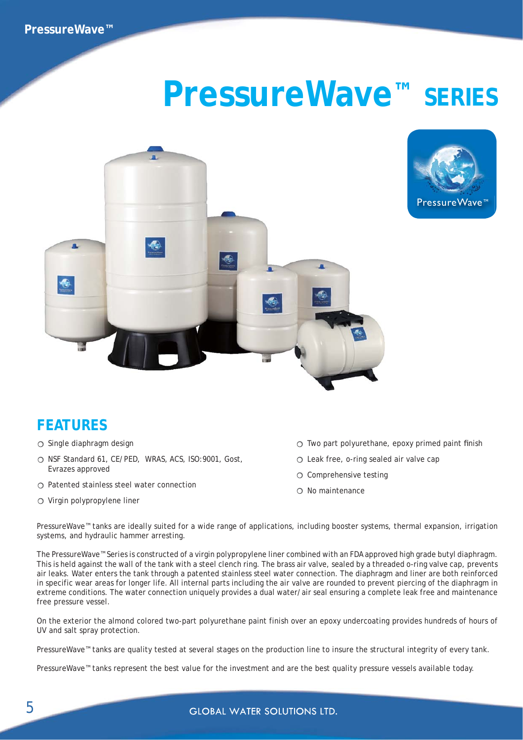## **PressureWave™ SERIES**





## **FEATURES**

- $\circ$  Single diaphragm design
- O NSF Standard 61, CE/PED, WRAS, ACS, ISO: 9001, Gost, Evrazes approved
- $\bigcirc$  Patented stainless steel water connection
- $\circ$  Virgin polypropylene liner
- $\circ$  Two part polyurethane, epoxy primed paint finish
- $\bigcirc$  Leak free, o-ring sealed air valve cap
- O Comprehensive testing
- $\bigcirc$  No maintenance

PressureWave™ tanks are ideally suited for a wide range of applications, including booster systems, thermal expansion, irrigation systems, and hydraulic hammer arresting.

The PressureWave™ Series is constructed of a virgin polypropylene liner combined with an FDA approved high grade butyl diaphragm. This is held against the wall of the tank with a steel clench ring. The brass air valve, sealed by a threaded o-ring valve cap, prevents air leaks. Water enters the tank through a patented stainless steel water connection. The diaphragm and liner are both reinforced in specific wear areas for longer life. All internal parts including the air valve are rounded to prevent piercing of the diaphragm in extreme conditions. The water connection uniquely provides a dual water/air seal ensuring a complete leak free and maintenance free pressure vessel.

On the exterior the almond colored two-part polyurethane paint finish over an epoxy undercoating provides hundreds of hours of UV and salt spray protection.

PressureWave™ tanks are quality tested at several stages on the production line to insure the structural integrity of every tank.

PressureWave™ tanks represent the best value for the investment and are the best quality pressure vessels available today.

**GLOBAL WATER SOLUTIONS LTD.**